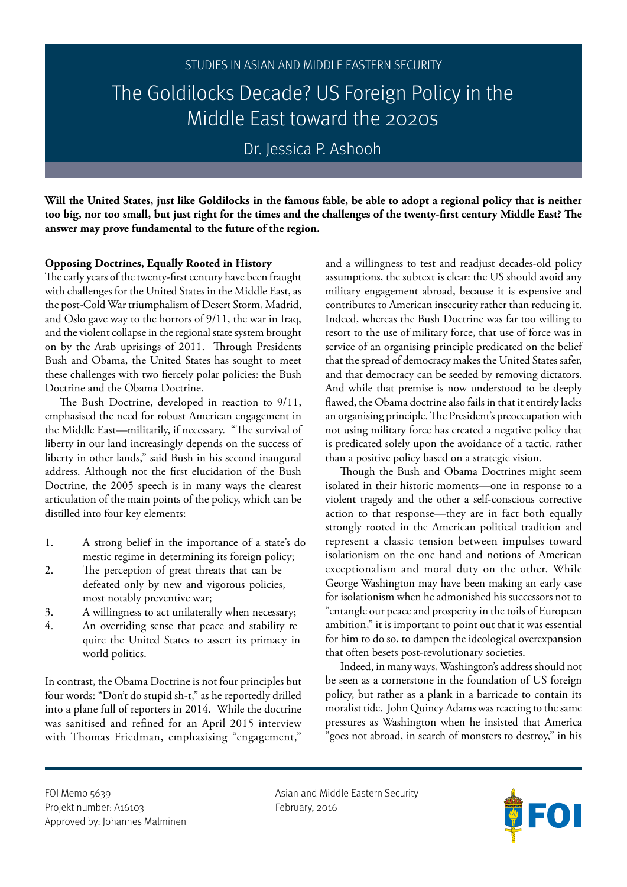Dr. Jessica P. Ashooh

**Will the United States, just like Goldilocks in the famous fable, be able to adopt a regional policy that is neither too big, nor too small, but just right for the times and the challenges of the twenty-first century Middle East? The answer may prove fundamental to the future of the region.**

## **Opposing Doctrines, Equally Rooted in History**

The early years of the twenty-first century have been fraught with challenges for the United States in the Middle East, as the post-Cold War triumphalism of Desert Storm, Madrid, and Oslo gave way to the horrors of 9/11, the war in Iraq, and the violent collapse in the regional state system brought on by the Arab uprisings of 2011. Through Presidents Bush and Obama, the United States has sought to meet these challenges with two fiercely polar policies: the Bush Doctrine and the Obama Doctrine.

The Bush Doctrine, developed in reaction to 9/11, emphasised the need for robust American engagement in the Middle East—militarily, if necessary. "The survival of liberty in our land increasingly depends on the success of liberty in other lands," said Bush in his second inaugural address. Although not the first elucidation of the Bush Doctrine, the 2005 speech is in many ways the clearest articulation of the main points of the policy, which can be distilled into four key elements:

- 1. A strong belief in the importance of a state's do mestic regime in determining its foreign policy;
- 2. The perception of great threats that can be defeated only by new and vigorous policies, most notably preventive war;
- 3. A willingness to act unilaterally when necessary;
- 4. An overriding sense that peace and stability re quire the United States to assert its primacy in world politics.

In contrast, the Obama Doctrine is not four principles but four words: "Don't do stupid sh-t," as he reportedly drilled into a plane full of reporters in 2014. While the doctrine was sanitised and refined for an April 2015 interview with Thomas Friedman, emphasising "engagement,"

and a willingness to test and readjust decades-old policy assumptions, the subtext is clear: the US should avoid any military engagement abroad, because it is expensive and contributes to American insecurity rather than reducing it. Indeed, whereas the Bush Doctrine was far too willing to resort to the use of military force, that use of force was in service of an organising principle predicated on the belief that the spread of democracy makes the United States safer, and that democracy can be seeded by removing dictators. And while that premise is now understood to be deeply flawed, the Obama doctrine also fails in that it entirely lacks an organising principle. The President's preoccupation with not using military force has created a negative policy that is predicated solely upon the avoidance of a tactic, rather than a positive policy based on a strategic vision.

Though the Bush and Obama Doctrines might seem isolated in their historic moments—one in response to a violent tragedy and the other a self-conscious corrective action to that response—they are in fact both equally strongly rooted in the American political tradition and represent a classic tension between impulses toward isolationism on the one hand and notions of American exceptionalism and moral duty on the other. While George Washington may have been making an early case for isolationism when he admonished his successors not to "entangle our peace and prosperity in the toils of European ambition," it is important to point out that it was essential for him to do so, to dampen the ideological overexpansion that often besets post-revolutionary societies.

Indeed, in many ways, Washington's address should not be seen as a cornerstone in the foundation of US foreign policy, but rather as a plank in a barricade to contain its moralist tide. John Quincy Adams was reacting to the same pressures as Washington when he insisted that America "goes not abroad, in search of monsters to destroy," in his

Projekt number: A16103 February, 2016 Approved by: Johannes Malminen

FOI Memo 5639 **Asian and Middle Eastern Security** Asian and Middle Eastern Security

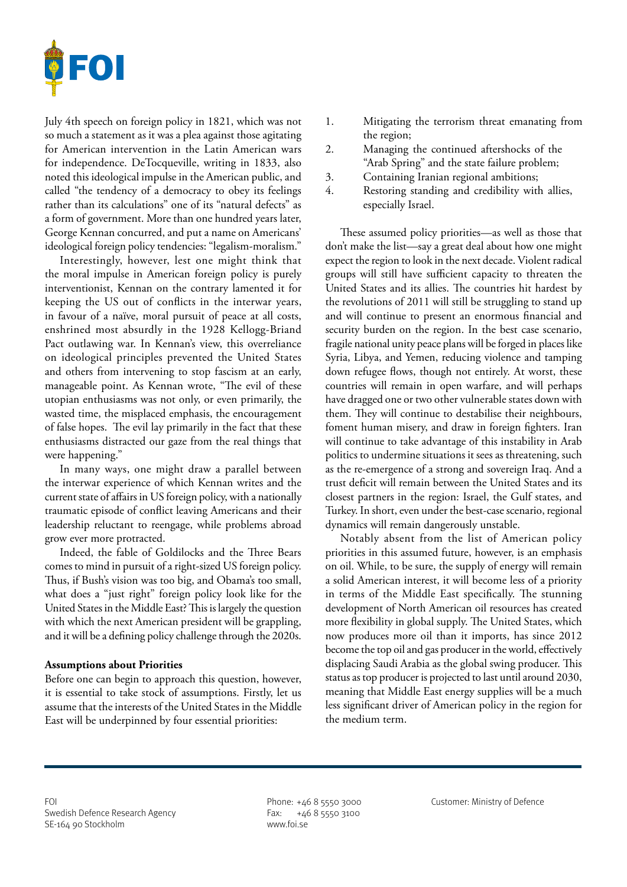

July 4th speech on foreign policy in 1821, which was not so much a statement as it was a plea against those agitating for American intervention in the Latin American wars for independence. DeTocqueville, writing in 1833, also noted this ideological impulse in the American public, and called "the tendency of a democracy to obey its feelings rather than its calculations" one of its "natural defects" as a form of government. More than one hundred years later, George Kennan concurred, and put a name on Americans' ideological foreign policy tendencies: "legalism-moralism."

Interestingly, however, lest one might think that the moral impulse in American foreign policy is purely interventionist, Kennan on the contrary lamented it for keeping the US out of conflicts in the interwar years, in favour of a naïve, moral pursuit of peace at all costs, enshrined most absurdly in the 1928 Kellogg-Briand Pact outlawing war. In Kennan's view, this overreliance on ideological principles prevented the United States and others from intervening to stop fascism at an early, manageable point. As Kennan wrote, "The evil of these utopian enthusiasms was not only, or even primarily, the wasted time, the misplaced emphasis, the encouragement of false hopes. The evil lay primarily in the fact that these enthusiasms distracted our gaze from the real things that were happening."

In many ways, one might draw a parallel between the interwar experience of which Kennan writes and the current state of affairs in US foreign policy, with a nationally traumatic episode of conflict leaving Americans and their leadership reluctant to reengage, while problems abroad grow ever more protracted.

Indeed, the fable of Goldilocks and the Three Bears comes to mind in pursuit of a right-sized US foreign policy. Thus, if Bush's vision was too big, and Obama's too small, what does a "just right" foreign policy look like for the United States in the Middle East? This is largely the question with which the next American president will be grappling, and it will be a defining policy challenge through the 2020s.

### **Assumptions about Priorities**

Before one can begin to approach this question, however, it is essential to take stock of assumptions. Firstly, let us assume that the interests of the United States in the Middle East will be underpinned by four essential priorities:

- 1. Mitigating the terrorism threat emanating from the region;
- 2. Managing the continued aftershocks of the "Arab Spring" and the state failure problem;
- 3. Containing Iranian regional ambitions;
- 4. Restoring standing and credibility with allies, especially Israel.

These assumed policy priorities—as well as those that don't make the list—say a great deal about how one might expect the region to look in the next decade. Violent radical groups will still have sufficient capacity to threaten the United States and its allies. The countries hit hardest by the revolutions of 2011 will still be struggling to stand up and will continue to present an enormous financial and security burden on the region. In the best case scenario, fragile national unity peace plans will be forged in places like Syria, Libya, and Yemen, reducing violence and tamping down refugee flows, though not entirely. At worst, these countries will remain in open warfare, and will perhaps have dragged one or two other vulnerable states down with them. They will continue to destabilise their neighbours, foment human misery, and draw in foreign fighters. Iran will continue to take advantage of this instability in Arab politics to undermine situations it sees as threatening, such as the re-emergence of a strong and sovereign Iraq. And a trust deficit will remain between the United States and its closest partners in the region: Israel, the Gulf states, and Turkey. In short, even under the best-case scenario, regional dynamics will remain dangerously unstable.

Notably absent from the list of American policy priorities in this assumed future, however, is an emphasis on oil. While, to be sure, the supply of energy will remain a solid American interest, it will become less of a priority in terms of the Middle East specifically. The stunning development of North American oil resources has created more flexibility in global supply. The United States, which now produces more oil than it imports, has since 2012 become the top oil and gas producer in the world, effectively displacing Saudi Arabia as the global swing producer. This status as top producer is projected to last until around 2030, meaning that Middle East energy supplies will be a much less significant driver of American policy in the region for the medium term.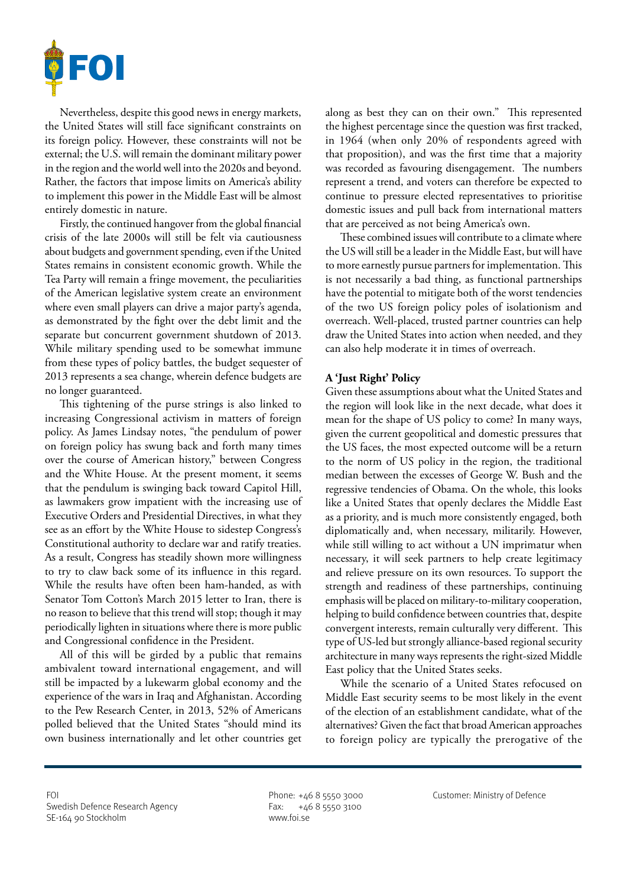

Nevertheless, despite this good news in energy markets, the United States will still face significant constraints on its foreign policy. However, these constraints will not be external; the U.S. will remain the dominant military power in the region and the world well into the 2020s and beyond. Rather, the factors that impose limits on America's ability to implement this power in the Middle East will be almost entirely domestic in nature.

Firstly, the continued hangover from the global financial crisis of the late 2000s will still be felt via cautiousness about budgets and government spending, even if the United States remains in consistent economic growth. While the Tea Party will remain a fringe movement, the peculiarities of the American legislative system create an environment where even small players can drive a major party's agenda, as demonstrated by the fight over the debt limit and the separate but concurrent government shutdown of 2013. While military spending used to be somewhat immune from these types of policy battles, the budget sequester of 2013 represents a sea change, wherein defence budgets are no longer guaranteed.

This tightening of the purse strings is also linked to increasing Congressional activism in matters of foreign policy. As James Lindsay notes, "the pendulum of power on foreign policy has swung back and forth many times over the course of American history," between Congress and the White House. At the present moment, it seems that the pendulum is swinging back toward Capitol Hill, as lawmakers grow impatient with the increasing use of Executive Orders and Presidential Directives, in what they see as an effort by the White House to sidestep Congress's Constitutional authority to declare war and ratify treaties. As a result, Congress has steadily shown more willingness to try to claw back some of its influence in this regard. While the results have often been ham-handed, as with Senator Tom Cotton's March 2015 letter to Iran, there is no reason to believe that this trend will stop; though it may periodically lighten in situations where there is more public and Congressional confidence in the President.

All of this will be girded by a public that remains ambivalent toward international engagement, and will still be impacted by a lukewarm global economy and the experience of the wars in Iraq and Afghanistan. According to the Pew Research Center, in 2013, 52% of Americans polled believed that the United States "should mind its own business internationally and let other countries get

along as best they can on their own." This represented the highest percentage since the question was first tracked, in 1964 (when only 20% of respondents agreed with that proposition), and was the first time that a majority was recorded as favouring disengagement. The numbers represent a trend, and voters can therefore be expected to continue to pressure elected representatives to prioritise domestic issues and pull back from international matters that are perceived as not being America's own.

These combined issues will contribute to a climate where the US will still be a leader in the Middle East, but will have to more earnestly pursue partners for implementation. This is not necessarily a bad thing, as functional partnerships have the potential to mitigate both of the worst tendencies of the two US foreign policy poles of isolationism and overreach. Well-placed, trusted partner countries can help draw the United States into action when needed, and they can also help moderate it in times of overreach.

## **A 'Just Right' Policy**

Given these assumptions about what the United States and the region will look like in the next decade, what does it mean for the shape of US policy to come? In many ways, given the current geopolitical and domestic pressures that the US faces, the most expected outcome will be a return to the norm of US policy in the region, the traditional median between the excesses of George W. Bush and the regressive tendencies of Obama. On the whole, this looks like a United States that openly declares the Middle East as a priority, and is much more consistently engaged, both diplomatically and, when necessary, militarily. However, while still willing to act without a UN imprimatur when necessary, it will seek partners to help create legitimacy and relieve pressure on its own resources. To support the strength and readiness of these partnerships, continuing emphasis will be placed on military-to-military cooperation, helping to build confidence between countries that, despite convergent interests, remain culturally very different. This type of US-led but strongly alliance-based regional security architecture in many ways represents the right-sized Middle East policy that the United States seeks.

While the scenario of a United States refocused on Middle East security seems to be most likely in the event of the election of an establishment candidate, what of the alternatives? Given the fact that broad American approaches to foreign policy are typically the prerogative of the